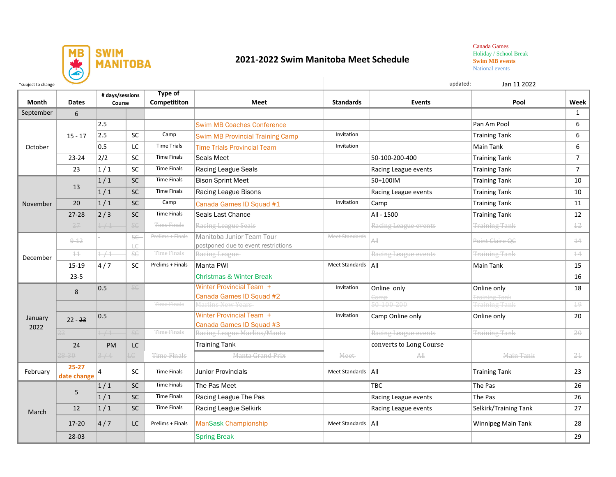

## **2021-2022 Swim Manitoba Meet Schedule**

Canada Games Holiday / School Break **Swim MB events**  National events

| *subject to change |                          |                           |                 |                                |                                                                  |                       |                         | updated:<br>Jan 11 2022             |                |
|--------------------|--------------------------|---------------------------|-----------------|--------------------------------|------------------------------------------------------------------|-----------------------|-------------------------|-------------------------------------|----------------|
| <b>Month</b>       | <b>Dates</b>             | # days/sessions<br>Course |                 | <b>Type of</b><br>Competititon | <b>Meet</b>                                                      | <b>Standards</b>      | <b>Events</b>           | Pool                                | Week           |
| September          | 6                        |                           |                 |                                |                                                                  |                       |                         |                                     | $\mathbf{1}$   |
| October            | $15 - 17$                | 2.5                       |                 |                                | <b>Swim MB Coaches Conference</b>                                |                       |                         | Pan Am Pool                         | 6              |
|                    |                          | 2.5                       | <b>SC</b>       | Camp                           | <b>Swim MB Provincial Training Camp</b>                          | Invitation            |                         | <b>Training Tank</b>                | 6              |
|                    |                          | 0.5                       | LC              | <b>Time Trials</b>             | <b>Time Trials Provincial Team</b>                               | Invitation            |                         | Main Tank                           | 6              |
|                    | $23 - 24$                | 2/2                       | <b>SC</b>       | <b>Time Finals</b>             | Seals Meet                                                       |                       | 50-100-200-400          | <b>Training Tank</b>                | $\overline{7}$ |
|                    | 23                       | $\left 1\right $ 1        | SC              | <b>Time Finals</b>             | Racing League Seals                                              |                       | Racing League events    | <b>Training Tank</b>                | $\overline{7}$ |
| November           | 13                       | 1/1                       | SC              | <b>Time Finals</b>             | <b>Bison Sprint Meet</b>                                         |                       | 50+100IM                | <b>Training Tank</b>                | 10             |
|                    |                          | 1/1                       | SC              | <b>Time Finals</b>             | Racing League Bisons                                             |                       | Racing League events    | <b>Training Tank</b>                | 10             |
|                    | 20                       | 1/1                       | <b>SC</b>       | Camp                           | Canada Games ID Squad #1                                         | Invitation            | Camp                    | <b>Training Tank</b>                | 11             |
|                    | $27 - 28$                | $\left 2\right/3\right $  | SC              | <b>Time Finals</b>             | Seals Last Chance                                                |                       | All - 1500              | <b>Training Tank</b>                | 12             |
|                    | 27                       | 1/1                       | SG              | <b>Time Finals</b>             | Racing League Seals                                              |                       | Racing League events    | <b>Training Tank</b>                | $\pm 2$        |
| December           | $9 - 12$                 |                           | <b>SE</b><br>ŁЄ | Prelims + Finals               | Manitoba Junior Team Tour<br>postponed due to event restrictions | Meet Standards        | All                     | Point Claire OC                     | $\pm 4$        |
|                    | $\pm\pm$                 | 1/1                       | <b>SC</b>       | <b>Time Finals</b>             | Racing League                                                    |                       | Racing League events    | <b>Training Tank</b>                | $\pm 4$        |
|                    | 15-19                    | 4/7                       | <b>SC</b>       | Prelims + Finals               | Manta PWI                                                        | Meet Standards   All  |                         | Main Tank                           | 15             |
|                    | $23 - 5$                 |                           |                 |                                | <b>Christmas &amp; Winter Break</b>                              |                       |                         |                                     | 16             |
| January<br>2022    | 8                        | 0.5                       | <b>SC</b>       |                                | <b>Winter Provincial Team +</b><br>Canada Games ID Squad #2      | Invitation            | Online only<br>ame      | Online only<br><b>Training Tank</b> | 18             |
|                    |                          |                           |                 | <b>Time Finals</b>             | Marlins New Years                                                |                       | 50-100-200              | <b>Training Tank</b>                | $\pm 9$        |
|                    | $22 - 23$                | 0.5                       |                 |                                | Winter Provincial Team +<br>Canada Games ID Squad #3             | Invitation            | Camp Online only        | Online only                         | 20             |
|                    |                          | 1/1                       | <b>SG</b>       | <b>Time Finals</b>             | Racing League Marlins/Manta                                      |                       | Racing League events    | <b>Training Tank</b>                | $20 -$         |
|                    | 24                       | PM                        | LC              |                                | Training Tank                                                    |                       | converts to Long Course |                                     |                |
|                    | $28 - 30$                | 3/4                       | LC.             | Time Finals                    | Manta Grand Prix                                                 | Meet                  | A                       | Main Tank                           | 21             |
| February           | $25 - 27$<br>date change | $\overline{a}$            | SC              | <b>Time Finals</b>             | <b>Junior Provincials</b>                                        | Meet Standards        | All                     | <b>Training Tank</b>                | 23             |
| March              | 5                        | 1/1                       | SC              | <b>Time Finals</b>             | The Pas Meet                                                     |                       | TBC                     | The Pas                             | 26             |
|                    |                          | 1/1                       | SC              | <b>Time Finals</b>             | Racing League The Pas                                            |                       | Racing League events    | The Pas                             | 26             |
|                    | 12                       | 1/1                       | <b>SC</b>       | <b>Time Finals</b>             | Racing League Selkirk                                            |                       | Racing League events    | Selkirk/Training Tank               | 27             |
|                    | $17 - 20$                | 4/7                       | <b>LC</b>       | Prelims + Finals               | ManSask Championship                                             | <b>Meet Standards</b> | All                     | Winnipeg Main Tank                  | 28             |
|                    | 28-03                    |                           |                 |                                | <b>Spring Break</b>                                              |                       |                         |                                     | 29             |